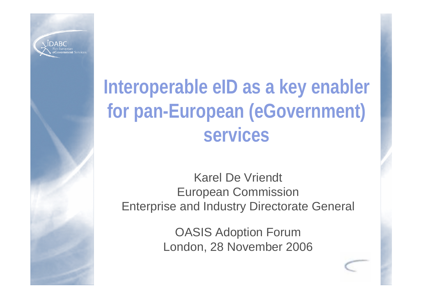

# **Interoperable eID as a key enabler for pan-European (eGovernment) services**

Karel De Vriendt European Commission Enterprise and Industry Directorate General

> OASIS Adoption Forum London, 28 November 2006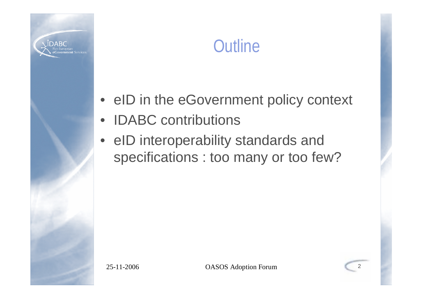

## **Outline**

- eID in the eGovernment policy context
- IDABC contributions
- eID interoperability standards and specifications : too many or too few?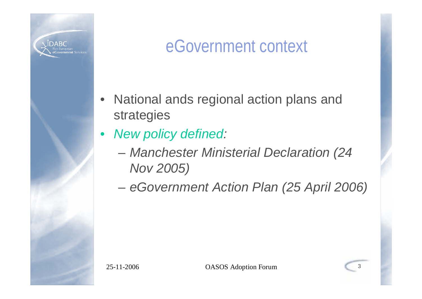

## eGovernment context

- National ands regional action plans and strategies
- *New policy defined:*
	- *Manchester Ministerial Declaration (24 Nov 2005)*
	- *eGovernment Action Plan (25 April 2006)*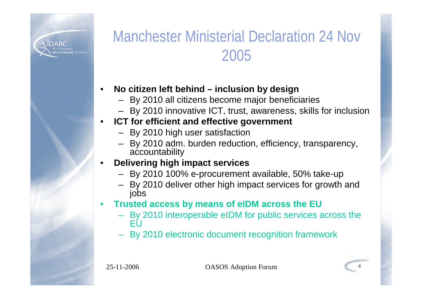

### Manchester Ministerial Declaration 24 Nov 2005

#### • **No citizen left behind – inclusion by design**

- By 2010 all citizens become major beneficiaries
- By 2010 innovative ICT, trust, awareness, skills for inclusion

#### **ICT for efficient and effective government**

- By 2010 high user satisfaction
- By 2010 adm. burden reduction, efficiency, transparency, accountability

#### • **Delivering high impact services**

- By 2010 100% e-procurement available, 50% take-up
- By 2010 deliver other high impact services for growth and jobs
- **Trusted access by means of eIDM across the EU**
	- By 2010 interoperable eIDM for public services across the EU
	- By 2010 electronic document recognition framework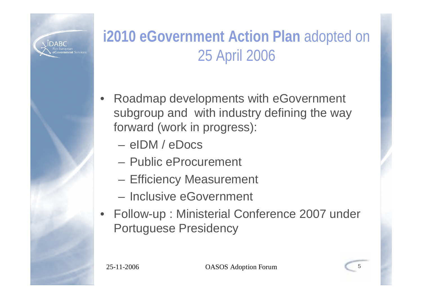

### **i2010 eGovernment Action Plan** adopted on 25 April 2006

- Roadmap developments with eGovernment subgroup and with industry defining the way forward (work in progress):
	- eIDM / eDocs
	- Public eProcurement
	- Efficiency Measurement
	- Inclusive eGovernment
- Follow-up : Ministerial Conference 2007 under Portuguese Presidency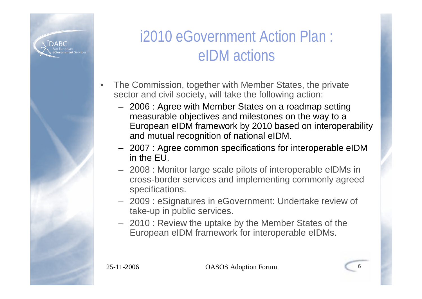

#### i2010 eGovernment Action Plan : eIDM actions

- The Commission, together with Member States, the private sector and civil society, will take the following action:
	- 2006 : Agree with Member States on a roadmap setting measurable objectives and milestones on the way to a European eIDM framework by 2010 based on interoperability and mutual recognition of national eIDM.
	- 2007 : Agree common specifications for interoperable eIDM in the EU.
	- 2008 : Monitor large scale pilots of interoperable eIDMs in cross-border services and implementing commonly agreed specifications.
	- 2009 : eSignatures in eGovernment: Undertake review of take-up in public services.
	- 2010 : Review the uptake by the Member States of the European eIDM framework for interoperable eIDMs.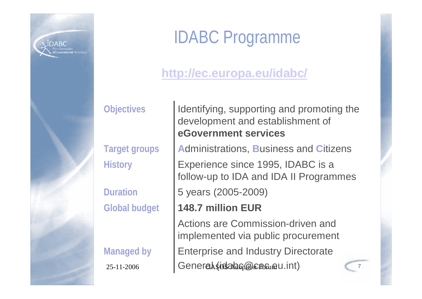

## IDABC Programme

#### **http://ec.europa.eu/idabc/**

Identifying, supporting and promoting the development and establishment of **eGovernment services**

**Target groups A**dministrations, **B**usiness and **C**itizens

Duration **5 years (2005-2009)** Experience since 1995, IDABC is a follow-up to IDA and IDA II Programmes

**Global budget 148.7 million EUR**

 $25 - 11 - 2006$  Ceneral (idsalasp@cec.eu.int) Enterprise and Industry Directorate Actions are Commission-driven and implemented via public procurement

**Managed by**

**History**

**Objectives**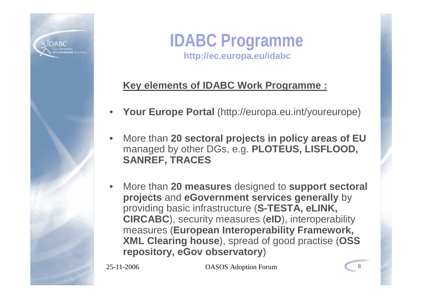

#### **IDABC Programme http://ec.europa.eu/idabc**

#### **Key elements of IDABC Work Programme :**

- **Your Europe Portal** (http://europa.eu.int/youreurope)
- More than **20 sectoral projects in policy areas of EU** managed by other DGs, e.g. **PLOTEUS, LISFLOOD, SANREF, TRACES**
- More than **20 measures** designed to **support sectoral projects** and **eGovernment services generally** by providing basic infrastructure (**S-TESTA, eLINK, CIRCABC**), security measures (**eID**), interoperability measures (**European Interoperability Framework, XML Clearing house**), spread of good practise (**OSS repository, eGov observatory**)

25-11-2006 OASOS Adoption Forum 8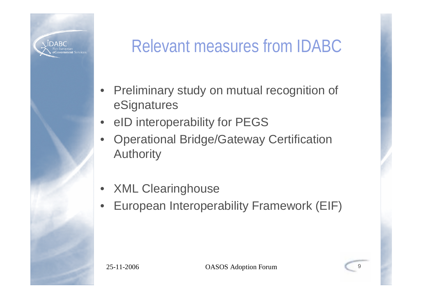

## Relevant measures from IDABC

- Preliminary study on mutual recognition of eSignatures
- eID interoperability for PEGS
- Operational Bridge/Gateway Certification Authority
- XML Clearinghouse
- European Interoperability Framework (EIF)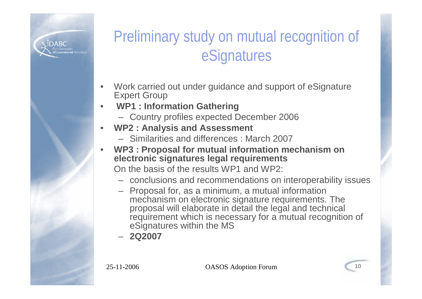

### Preliminary study on mutual recognition of eSignatures

- Work carried out under guidance and support of eSignature Expert Group
- **WP1 : Information Gathering**
	- Country profiles expected December 2006
- **WP2 : Analysis and Assessment**
	- Similarities and differences : March 2007
- **WP3 : Proposal for mutual information mechanism on electronic signatures legal requirements**

On the basis of the results WP1 and WP2:

- conclusions and recommendations on interoperability issues
- Proposal for, as a minimum, a mutual information mechanism on electronic signature requirements. The proposal will elaborate in detail the legal and technical requirement which is necessary for a mutual recognition of eSignatures within the MS
- **2Q2007**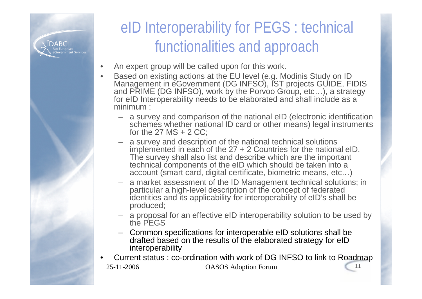

### eID Interoperability for PEGS : technical functionalities and approach

- An expert group will be called upon for this work.
- Based on existing actions at the EU level (e.g. Modinis Study on ID Management in eGovernment (DG INFSO), IST projects GUIDE, FIDIS and PRIME (DG INFSO), work by the Porvoo Group, etc…), a strategy for eID Interoperability needs to be elaborated and shall include as a minimum :
	- a survey and comparison of the national eID (electronic identification schemes whether national ID card or other means) legal instruments for the  $27$  MS  $+ 2$  CC:
	- a survey and description of the national technical solutions implemented in each of the 27 + 2 Countries for the national eID. The survey shall also list and describe which are the important technical components of the eID which should be taken into a account (smart card, digital certificate, biometric means, etc…)
	- a market assessment of the ID Management technical solutions; in particular a high-level description of the concept of federated identities and its applicability for interoperability of eID's shall be produced;
	- a proposal for an effective eID interoperability solution to be used by the PEGS
	- Common specifications for interoperable eID solutions shall be drafted based on the results of the elaborated strategy for eID interoperability
- 25-11-2006 OASOS Adoption Forum 11 • Current status : co-ordination with work of DG INFSO to link to Roadmap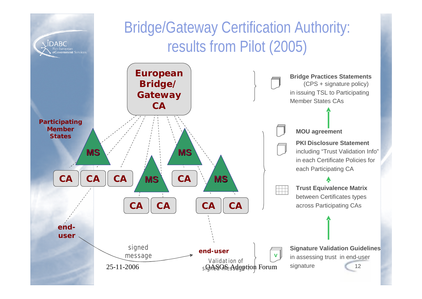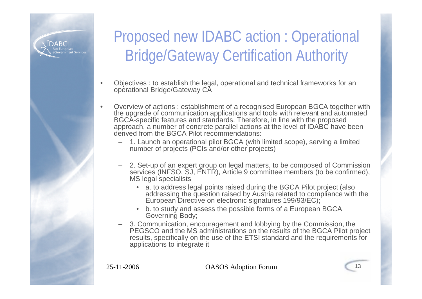

### Proposed new IDABC action : Operational Bridge/Gateway Certification Authority

- Objectives : to establish the legal, operational and technical frameworks for an operational Bridge/Gateway CA
- Overview of actions : establishment of a recognised European BGCA together with the upgrade of communication applications and tools with relevant and automated BGCA-specific features and standards. Therefore, in line with the proposed approach, a number of concrete parallel actions at the level of IDABC have been derived from the BGCA Pilot recommendations:
	- 1. Launch an operational pilot BGCA (with limited scope), serving a limited number of projects (PCIs and/or other projects)
	- 2. Set-up of an expert group on legal matters, to be composed of Commission services (INFSO, SJ, ENTR), Article 9 committee members (to be confirmed), MS legal specialists
		- a. to address legal points raised during the BGCA Pilot project (also addressing the question raised by Austria related to compliance with the European Directive on electronic signatures 199/93/EC);
		- b. to study and assess the possible forms of a European BGCA Governing Body;
	- 3. Communication, encouragement and lobbying by the Commission, the PEGSCO and the MS administrations on the results of the BGCA Pilot project results, specifically on the use of the ETSI standard and the requirements for applications to integrate it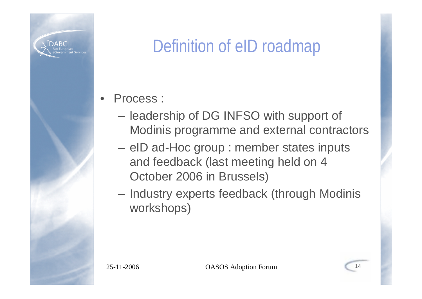

## Definition of eID roadmap

- Process :
	- leadership of DG INFSO with support of Modinis programme and external contractors
	- eID ad-Hoc group : member states inputs and feedback (last meeting held on 4 October 2006 in Brussels)
	- Industry experts feedback (through Modinis workshops)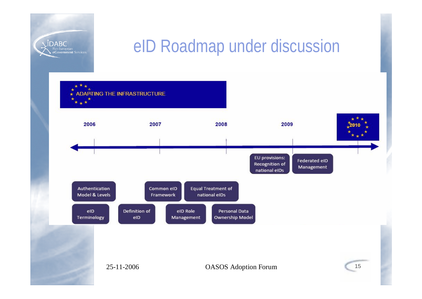

## eID Roadmap under discussion

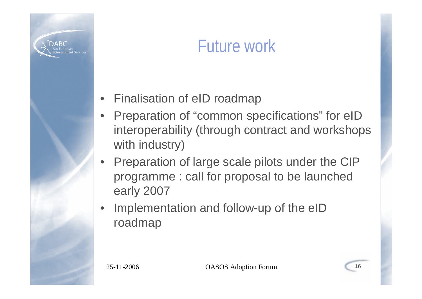

## Future work

- Finalisation of eID roadmap
- Preparation of "common specifications" for eID interoperability (through contract and workshops with industry)
- Preparation of large scale pilots under the CIP programme : call for proposal to be launched early 2007
- Implementation and follow-up of the eID roadmap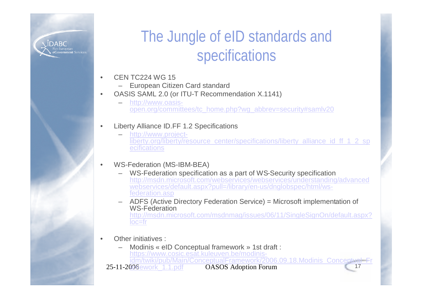

#### The Jungle of eID standards and specifications

- CEN TC224 WG 15
	- European Citizen Card standard
- OASIS SAML 2.0 (or ITU-T Recommendation X.1141)
	- http://www.oasisopen.org/committees/tc\_home.php?wg\_abbrev=security#samlv20
	- Liberty Alliance ID.FF 1.2 Specifications
		- http://www.projectliberty.org/liberty/resource\_center/specifications/liberty\_alliance\_id\_ff\_1\_2\_sp **ecifications**

#### • WS-Federation (MS-IBM-BEA)

- WS-Federation specification as a part of WS-Security specification http://msdn.microsoft.com/webservices/webservices/understanding/advanced webservices/default.aspx?pull=/library/en-us/dnglobspec/html/wsfederation.asp
- ADFS (Active Directory Federation Service) = Microsoft implementation of WS-Federation http://msdn.microsoft.com/msdnmag/issues/06/11/SingleSignOn/default.aspx? loc=fr
- Other initiatives :
	- 25-11-2006 ework\_1.1.pdf QASOS Adoption Forum 17 – Modinis « eID Conceptual framework » 1st draft : https://www.cosic.esat.kuleuven.be/modinisidm/twiki/pub/Main/ConceptualFramework/2006.09.18.Modinis\_Conceptual\_Fr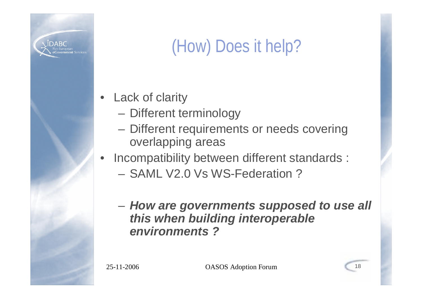

# (How) Does it help?

- **Lack of clarity** 
	- Different terminology
	- Different requirements or needs covering overlapping areas
- Incompatibility between different standards :
	- SAML V2.0 Vs WS-Federation ?
	- *How are governments supposed to use all this when building interoperable environments ?*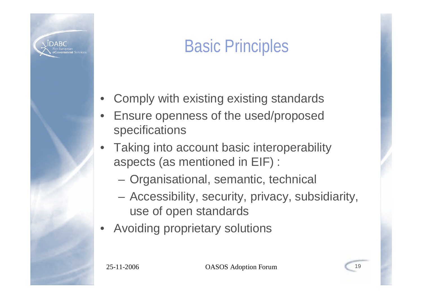

# Basic Principles

- Comply with existing existing standards
- Ensure openness of the used/proposed specifications
- Taking into account basic interoperability aspects (as mentioned in EIF) :
	- Organisational, semantic, technical
	- Accessibility, security, privacy, subsidiarity, use of open standards
- Avoiding proprietary solutions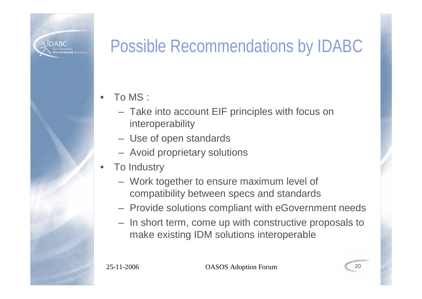

## Possible Recommendations by IDABC

• To MS :

- Take into account EIF principles with focus on interoperability
- Use of open standards
- Avoid proprietary solutions
- **To Industry** 
	- Work together to ensure maximum level of compatibility between specs and standards
	- Provide solutions compliant with eGovernment needs
	- In short term, come up with constructive proposals to make existing IDM solutions interoperable